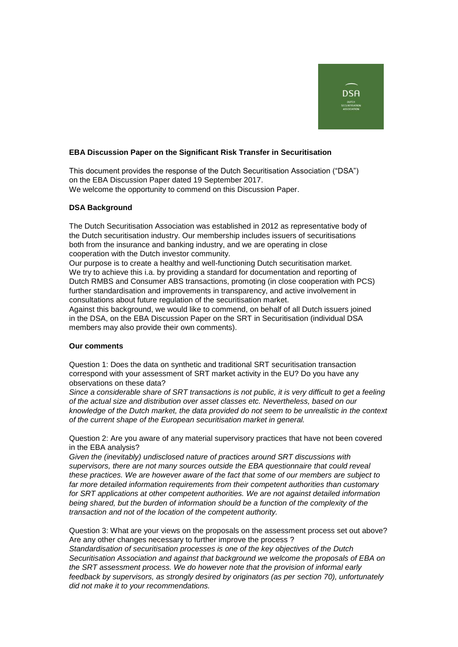

## **EBA Discussion Paper on the Significant Risk Transfer in Securitisation**

This document provides the response of the Dutch Securitisation Association ("DSA") on the EBA Discussion Paper dated 19 September 2017. We welcome the opportunity to commend on this Discussion Paper.

## **DSA Background**

The Dutch Securitisation Association was established in 2012 as representative body of the Dutch securitisation industry. Our membership includes issuers of securitisations both from the insurance and banking industry, and we are operating in close cooperation with the Dutch investor community.

Our purpose is to create a healthy and well-functioning Dutch securitisation market. We try to achieve this i.a. by providing a standard for documentation and reporting of Dutch RMBS and Consumer ABS transactions, promoting (in close cooperation with PCS) further standardisation and improvements in transparency, and active involvement in consultations about future regulation of the securitisation market.

Against this background, we would like to commend, on behalf of all Dutch issuers joined in the DSA, on the EBA Discussion Paper on the SRT in Securitisation (individual DSA members may also provide their own comments).

## **Our comments**

Question 1: Does the data on synthetic and traditional SRT securitisation transaction correspond with your assessment of SRT market activity in the EU? Do you have any observations on these data?

*Since a considerable share of SRT transactions is not public, it is very difficult to get a feeling of the actual size and distribution over asset classes etc. Nevertheless, based on our knowledge of the Dutch market, the data provided do not seem to be unrealistic in the context of the current shape of the European securitisation market in general.* 

Question 2: Are you aware of any material supervisory practices that have not been covered in the EBA analysis?

*Given the (inevitably) undisclosed nature of practices around SRT discussions with supervisors, there are not many sources outside the EBA questionnaire that could reveal these practices. We are however aware of the fact that some of our members are subject to far more detailed information requirements from their competent authorities than customary for SRT applications at other competent authorities. We are not against detailed information being shared, but the burden of information should be a function of the complexity of the transaction and not of the location of the competent authority.*

Question 3: What are your views on the proposals on the assessment process set out above? Are any other changes necessary to further improve the process ?

*Standardisation of securitisation processes is one of the key objectives of the Dutch Securitisation Association and against that background we welcome the proposals of EBA on the SRT assessment process. We do however note that the provision of informal early feedback by supervisors, as strongly desired by originators (as per section 70), unfortunately did not make it to your recommendations.*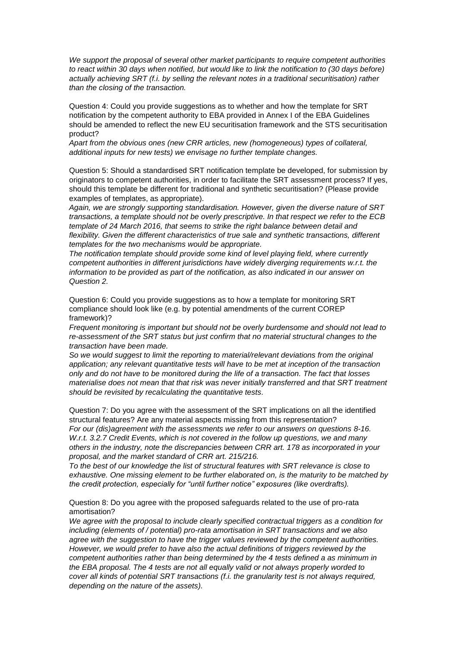*We support the proposal of several other market participants to require competent authorities to react within 30 days when notified, but would like to link the notification to (30 days before) actually achieving SRT (f.i. by selling the relevant notes in a traditional securitisation) rather than the closing of the transaction.* 

Question 4: Could you provide suggestions as to whether and how the template for SRT notification by the competent authority to EBA provided in Annex I of the EBA Guidelines should be amended to reflect the new EU securitisation framework and the STS securitisation product?

*Apart from the obvious ones (new CRR articles, new (homogeneous) types of collateral, additional inputs for new tests) we envisage no further template changes.*

Question 5: Should a standardised SRT notification template be developed, for submission by originators to competent authorities, in order to facilitate the SRT assessment process? If yes, should this template be different for traditional and synthetic securitisation? (Please provide examples of templates, as appropriate).

*Again, we are strongly supporting standardisation. However, given the diverse nature of SRT transactions, a template should not be overly prescriptive. In that respect we refer to the ECB template of 24 March 2016, that seems to strike the right balance between detail and flexibility. Given the different characteristics of true sale and synthetic transactions, different templates for the two mechanisms would be appropriate.*

*The notification template should provide some kind of level playing field, where currently competent authorities in different jurisdictions have widely diverging requirements w.r.t. the information to be provided as part of the notification, as also indicated in our answer on Question 2.*

Question 6: Could you provide suggestions as to how a template for monitoring SRT compliance should look like (e.g. by potential amendments of the current COREP framework)?

*Frequent monitoring is important but should not be overly burdensome and should not lead to re-assessment of the SRT status but just confirm that no material structural changes to the transaction have been made.*

*So we would suggest to limit the reporting to material/relevant deviations from the original application; any relevant quantitative tests will have to be met at inception of the transaction only and do not have to be monitored during the life of a transaction. The fact that losses materialise does not mean that that risk was never initially transferred and that SRT treatment should be revisited by recalculating the quantitative tests.*

Question 7: Do you agree with the assessment of the SRT implications on all the identified structural features? Are any material aspects missing from this representation? *For our (dis)agreement with the assessments we refer to our answers on questions 8-16. W.r.t. 3.2.7 Credit Events, which is not covered in the follow up questions, we and many others in the industry, note the discrepancies between CRR art. 178 as incorporated in your proposal, and the market standard of CRR art. 215/216.*

*To the best of our knowledge the list of structural features with SRT relevance is close to exhaustive. One missing element to be further elaborated on, is the maturity to be matched by the credit protection, especially for "until further notice" exposures (like overdrafts).*

Question 8: Do you agree with the proposed safeguards related to the use of pro-rata amortisation?

*We agree with the proposal to include clearly specified contractual triggers as a condition for including (elements of / potential) pro-rata amortisation in SRT transactions and we also agree with the suggestion to have the trigger values reviewed by the competent authorities. However, we would prefer to have also the actual definitions of triggers reviewed by the competent authorities rather than being determined by the 4 tests defined a as minimum in the EBA proposal. The 4 tests are not all equally valid or not always properly worded to cover all kinds of potential SRT transactions (f.i. the granularity test is not always required, depending on the nature of the assets).*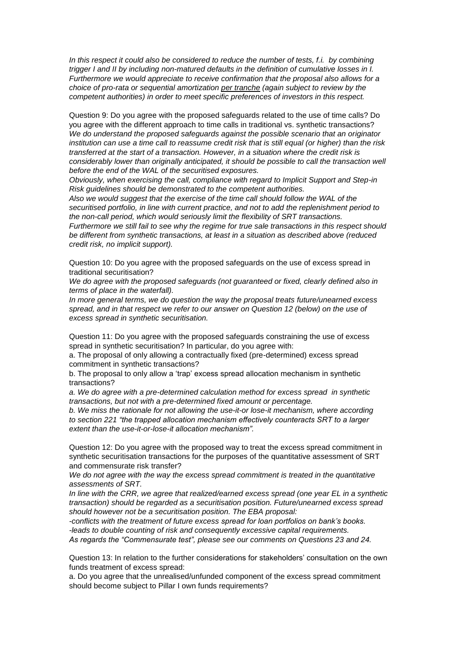*In this respect it could also be considered to reduce the number of tests, f.i. by combining trigger I and II by including non-matured defaults in the definition of cumulative losses in I. Furthermore we would appreciate to receive confirmation that the proposal also allows for a choice of pro-rata or sequential amortization per tranche (again subject to review by the competent authorities) in order to meet specific preferences of investors in this respect.* 

Question 9: Do you agree with the proposed safeguards related to the use of time calls? Do you agree with the different approach to time calls in traditional vs. synthetic transactions? *We do understand the proposed safeguards against the possible scenario that an originator institution can use a time call to reassume credit risk that is still equal (or higher) than the risk transferred at the start of a transaction. However, in a situation where the credit risk is considerably lower than originally anticipated, it should be possible to call the transaction well before the end of the WAL of the securitised exposures.*

*Obviously, when exercising the call, compliance with regard to Implicit Support and Step-in Risk guidelines should be demonstrated to the competent authorities.*

*Also we would suggest that the exercise of the time call should follow the WAL of the securitised portfolio, in line with current practice, and not to add the replenishment period to the non-call period, which would seriously limit the flexibility of SRT transactions.*

*Furthermore we still fail to see why the regime for true sale transactions in this respect should be different from synthetic transactions, at least in a situation as described above (reduced credit risk, no implicit support).*

Question 10: Do you agree with the proposed safeguards on the use of excess spread in traditional securitisation?

*We do agree with the proposed safeguards (not guaranteed or fixed, clearly defined also in terms of place in the waterfall).*

*In more general terms, we do question the way the proposal treats future/unearned excess spread, and in that respect we refer to our answer on Question 12 (below) on the use of excess spread in synthetic securitisation.*

Question 11: Do you agree with the proposed safeguards constraining the use of excess spread in synthetic securitisation? In particular, do you agree with:

a. The proposal of only allowing a contractually fixed (pre-determined) excess spread commitment in synthetic transactions?

b. The proposal to only allow a 'trap' excess spread allocation mechanism in synthetic transactions?

*a. We do agree with a pre-determined calculation method for excess spread in synthetic transactions, but not with a pre-determined fixed amount or percentage.*

*b. We miss the rationale for not allowing the use-it-or lose-it mechanism, where according to section 221 "the trapped allocation mechanism effectively counteracts SRT to a larger extent than the use-it-or-lose-it allocation mechanism".*

Question 12: Do you agree with the proposed way to treat the excess spread commitment in synthetic securitisation transactions for the purposes of the quantitative assessment of SRT and commensurate risk transfer?

*We do not agree with the way the excess spread commitment is treated in the quantitative assessments of SRT.*

*In line with the CRR, we agree that realized/earned excess spread (one year EL in a synthetic transaction) should be regarded as a securitisation position. Future/unearned excess spread should however not be a securitisation position. The EBA proposal:*

*-conflicts with the treatment of future excess spread for loan portfolios on bank's books. -leads to double counting of risk and consequently excessive capital requirements. As regards the "Commensurate test", please see our comments on Questions 23 and 24.*

Question 13: In relation to the further considerations for stakeholders' consultation on the own funds treatment of excess spread:

a. Do you agree that the unrealised/unfunded component of the excess spread commitment should become subject to Pillar I own funds requirements?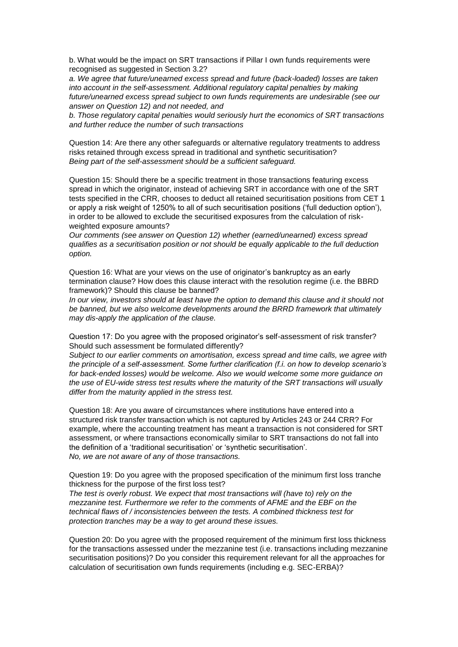b. What would be the impact on SRT transactions if Pillar I own funds requirements were recognised as suggested in Section 3.2?

*a. We agree that future/unearned excess spread and future (back-loaded) losses are taken into account in the self-assessment. Additional regulatory capital penalties by making future/unearned excess spread subject to own funds requirements are undesirable (see our answer on Question 12) and not needed, and*

*b. Those regulatory capital penalties would seriously hurt the economics of SRT transactions and further reduce the number of such transactions* 

Question 14: Are there any other safeguards or alternative regulatory treatments to address risks retained through excess spread in traditional and synthetic securitisation? *Being part of the self-assessment should be a sufficient safeguard.*

Question 15: Should there be a specific treatment in those transactions featuring excess spread in which the originator, instead of achieving SRT in accordance with one of the SRT tests specified in the CRR, chooses to deduct all retained securitisation positions from CET 1 or apply a risk weight of 1250% to all of such securitisation positions ('full deduction option'), in order to be allowed to exclude the securitised exposures from the calculation of riskweighted exposure amounts?

*Our comments (see answer on Question 12) whether (earned/unearned) excess spread qualifies as a securitisation position or not should be equally applicable to the full deduction option.*

Question 16: What are your views on the use of originator's bankruptcy as an early termination clause? How does this clause interact with the resolution regime (i.e. the BBRD framework)? Should this clause be banned?

*In our view, investors should at least have the option to demand this clause and it should not be banned, but we also welcome developments around the BRRD framework that ultimately may dis-apply the application of the clause.*

Question 17: Do you agree with the proposed originator's self-assessment of risk transfer? Should such assessment be formulated differently?

*Subject to our earlier comments on amortisation, excess spread and time calls, we agree with the principle of a self-assessment. Some further clarification (f.i. on how to develop scenario's for back-ended losses) would be welcome. Also we would welcome some more guidance on the use of EU-wide stress test results where the maturity of the SRT transactions will usually differ from the maturity applied in the stress test.* 

Question 18: Are you aware of circumstances where institutions have entered into a structured risk transfer transaction which is not captured by Articles 243 or 244 CRR? For example, where the accounting treatment has meant a transaction is not considered for SRT assessment, or where transactions economically similar to SRT transactions do not fall into the definition of a 'traditional securitisation' or 'synthetic securitisation'. *No, we are not aware of any of those transactions.*

Question 19: Do you agree with the proposed specification of the minimum first loss tranche thickness for the purpose of the first loss test?

*The test is overly robust. We expect that most transactions will (have to) rely on the mezzanine test. Furthermore we refer to the comments of AFME and the EBF on the technical flaws of / inconsistencies between the tests. A combined thickness test for protection tranches may be a way to get around these issues.*

Question 20: Do you agree with the proposed requirement of the minimum first loss thickness for the transactions assessed under the mezzanine test (i.e. transactions including mezzanine securitisation positions)? Do you consider this requirement relevant for all the approaches for calculation of securitisation own funds requirements (including e.g. SEC-ERBA)?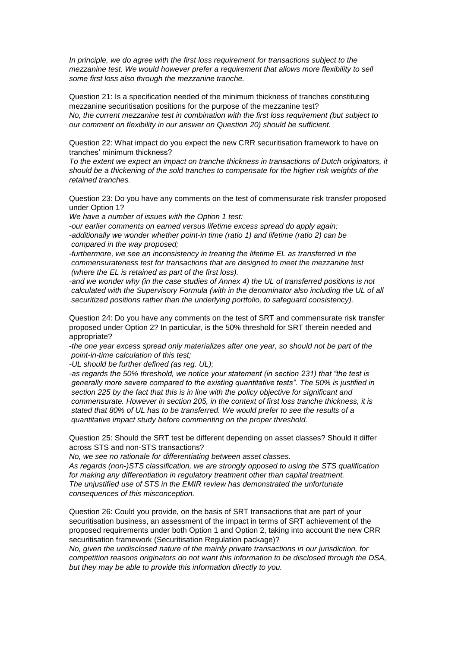*In principle, we do agree with the first loss requirement for transactions subject to the mezzanine test. We would however prefer a requirement that allows more flexibility to sell some first loss also through the mezzanine tranche.* 

Question 21: Is a specification needed of the minimum thickness of tranches constituting mezzanine securitisation positions for the purpose of the mezzanine test? *No, the current mezzanine test in combination with the first loss requirement (but subject to our comment on flexibility in our answer on Question 20) should be sufficient.*

Question 22: What impact do you expect the new CRR securitisation framework to have on tranches' minimum thickness?

*To the extent we expect an impact on tranche thickness in transactions of Dutch originators, it should be a thickening of the sold tranches to compensate for the higher risk weights of the retained tranches.*

Question 23: Do you have any comments on the test of commensurate risk transfer proposed under Option 1?

*We have a number of issues with the Option 1 test:*

*-our earlier comments on earned versus lifetime excess spread do apply again; -additionally we wonder whether point-in time (ratio 1) and lifetime (ratio 2) can be compared in the way proposed;*

*-furthermore, we see an inconsistency in treating the lifetime EL as transferred in the commensurateness test for transactions that are designed to meet the mezzanine test (where the EL is retained as part of the first loss).*

*-and we wonder why (in the case studies of Annex 4) the UL of transferred positions is not calculated with the Supervisory Formula (with in the denominator also including the UL of all securitized positions rather than the underlying portfolio, to safeguard consistency).*

Question 24: Do you have any comments on the test of SRT and commensurate risk transfer proposed under Option 2? In particular, is the 50% threshold for SRT therein needed and appropriate?

*-the one year excess spread only materializes after one year, so should not be part of the point-in-time calculation of this test;*

*-UL should be further defined (as reg. UL);*

*-as regards the 50% threshold, we notice your statement (in section 231) that "the test is generally more severe compared to the existing quantitative tests". The 50% is justified in section 225 by the fact that this is in line with the policy objective for significant and commensurate. However in section 205, in the context of first loss tranche thickness, it is stated that 80% of UL has to be transferred. We would prefer to see the results of a quantitative impact study before commenting on the proper threshold.*

Question 25: Should the SRT test be different depending on asset classes? Should it differ across STS and non-STS transactions?

*No, we see no rationale for differentiating between asset classes.*

*As regards (non-)STS classification, we are strongly opposed to using the STS qualification for making any differentiation in regulatory treatment other than capital treatment. The unjustified use of STS in the EMIR review has demonstrated the unfortunate consequences of this misconception.* 

Question 26: Could you provide, on the basis of SRT transactions that are part of your securitisation business, an assessment of the impact in terms of SRT achievement of the proposed requirements under both Option 1 and Option 2, taking into account the new CRR securitisation framework (Securitisation Regulation package)?

*No, given the undisclosed nature of the mainly private transactions in our jurisdiction, for competition reasons originators do not want this information to be disclosed through the DSA, but they may be able to provide this information directly to you.*